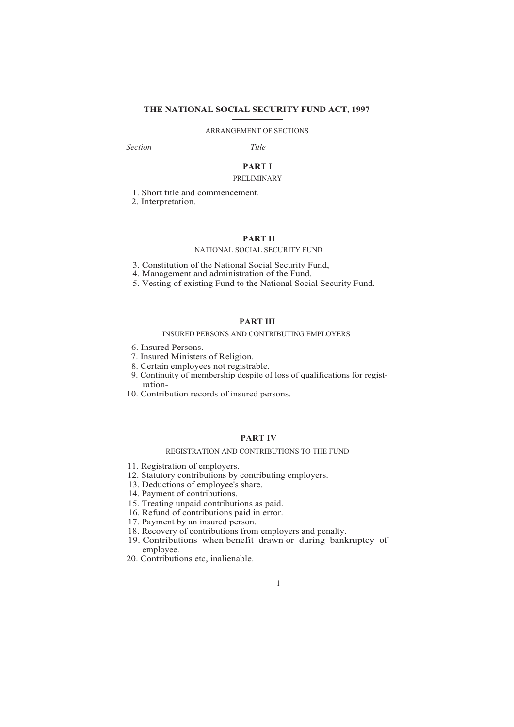# **THE NATIONAL SOCIAL SECURITY FUND ACT, 1997**

# ARRANGEMENT OF SECTIONS

*Section Title*

# **PART I** PRELIMINARY

1. Short title and commencement.

2. Interpretation.

### **PART II**

#### NATIONAL SOCIAL SECURITY FUND

- 3. Constitution of the National Social Security Fund,
- 4. Management and administration of the Fund.
- 5. Vesting of existing Fund to the National Social Security Fund.

# **PART III**

#### INSURED PERSONS AND CONTRIBUTING EMPLOYERS

- 6. Insured Persons.
- 7. Insured Ministers of Religion.
- 8. Certain employees not registrable.
- 9. Continuity of membership despite of loss of qualifications for registration-
- 10. Contribution records of insured persons.

# **PART IV**

#### REGISTRATION AND CONTRIBUTIONS TO THE FUND

- 11. Registration of employers.
- 12. Statutory contributions by contributing employers.
- 13. Deductions of employee's share.
- 14. Payment of contributions.
- 15. Treating unpaid contributions as paid.
- 16. Refund of contributions paid in error.
- 17. Payment by an insured person.
- 18. Recovery of contributions from employers and penalty.
- 19. Contributions when benefit drawn or during bankruptcy of employee.
- 20. Contributions etc, inalienable.

# 1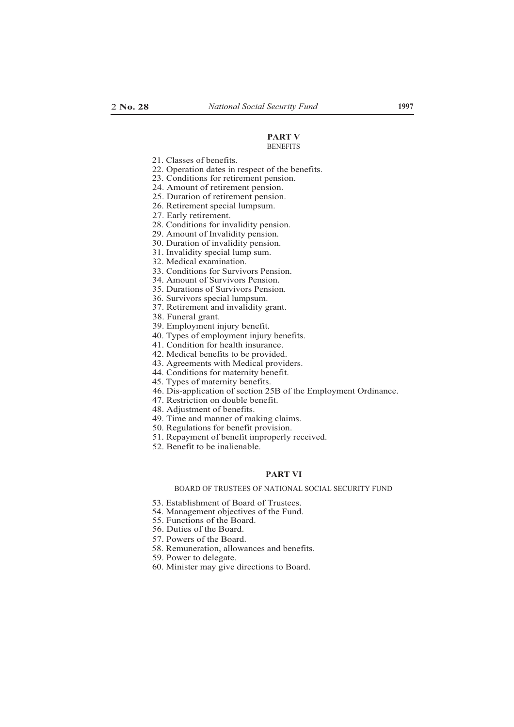#### **PART V BENEFITS**

21. Classes of benefits.

- 22. Operation dates in respect of the benefits.
- 23. Conditions for retirement pension.
- 24. Amount of retirement pension.
- 25. Duration of retirement pension.
- 26. Retirement special lumpsum.
- 27. Early retirement.
- 28. Conditions for invalidity pension.
- 29. Amount of Invalidity pension.
- 30. Duration of invalidity pension.
- 31. Invalidity special lump sum.
- 32. Medical examination.
- 33. Conditions for Survivors Pension.
- 34. Amount of Survivors Pension.
- 35. Durations of Survivors Pension.
- 36. Survivors special lumpsum.
- 37. Retirement and invalidity grant.
- 38. Funeral grant.
- 39. Employment injury benefit.
- 40. Types of employment injury benefits.
- 41. Condition for health insurance.
- 42. Medical benefits to be provided.
- 43. Agreements with Medical providers.
- 44. Conditions for maternity benefit.
- 45. Types of maternity benefits.
- 46. Dis-application of section 25B of the Employment Ordinance.
	- 47. Restriction on double benefit.
	- 48. Adjustment of benefits.
	- 49. Time and manner of making claims.
	- 50. Regulations for benefit provision.
	- 51. Repayment of benefit improperly received.
	- 52. Benefit to be inalienable.

#### **PART VI**

#### BOARD OF TRUSTEES OF NATIONAL SOCIAL SECURITY FUND

- 53. Establishment of Board of Trustees.
- 54. Management objectives of the Fund.
- 55. Functions of the Board.
- 56. Duties of the Board.
- 57. Powers of the Board.
- 58. Remuneration, allowances and benefits.
- 59. Power to delegate.
- 60. Minister may give directions to Board.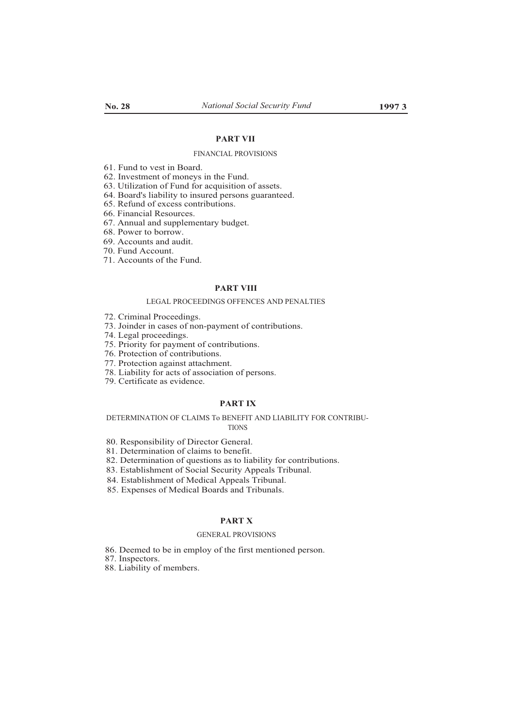# **PART VII**

#### FINANCIAL PROVISIONS

61. Fund to vest in Board.

62. Investment of moneys in the Fund.

63. Utilization of Fund for acquisition of assets.

64. Board's liability to insured persons guaranteed.

65. Refund of excess contributions.

66. Financial Resources.

67. Annual and supplementary budget.

68. Power to borrow.

69. Accounts and audit.

70. Fund Account.

71. Accounts of the Fund.

# **PART VIII**

### LEGAL PROCEEDINGS OFFENCES AND PENALTIES

72. Criminal Proceedings.

73. Joinder in cases of non-payment of contributions.

74. Legal proceedings.

75. Priority for payment of contributions.

76. Protection of contributions.

77. Protection against attachment.

78. Liability for acts of association of persons.

79. Certificate as evidence.

# **PART IX**

# DETERMINATION OF CLAIMS To BENEFIT AND LIABILITY FOR CONTRIBU-TIONS

80. Responsibility of Director General.

81. Determination of claims to benefit.

82. Determination of questions as to liability for contributions.

83. Establishment of Social Security Appeals Tribunal.

84. Establishment of Medical Appeals Tribunal.

85. Expenses of Medical Boards and Tribunals.

### **PART X**

# GENERAL PROVISIONS

86. Deemed to be in employ of the first mentioned person.

87. Inspectors.

88. Liability of members.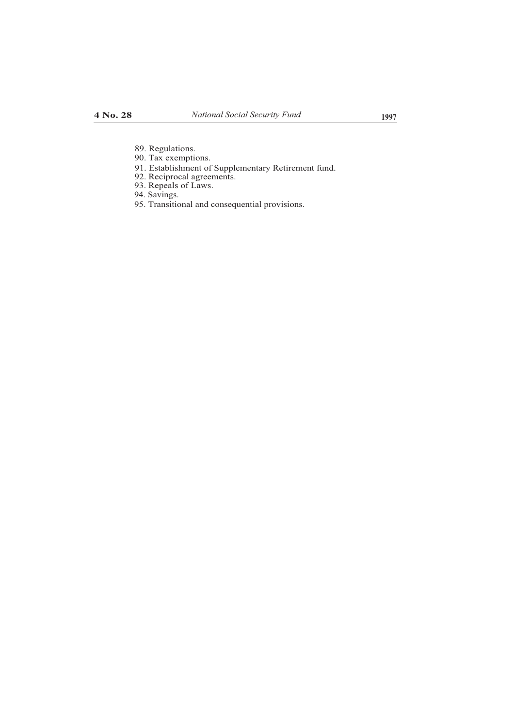- 89. Regulations.
- 90. Tax exemptions.
- 91. Establishment of Supplementary Retirement fund.
- 92. Reciprocal agreements.
- 93. Repeals of Laws.
- 94. Savings.
- 95. Transitional and consequential provisions.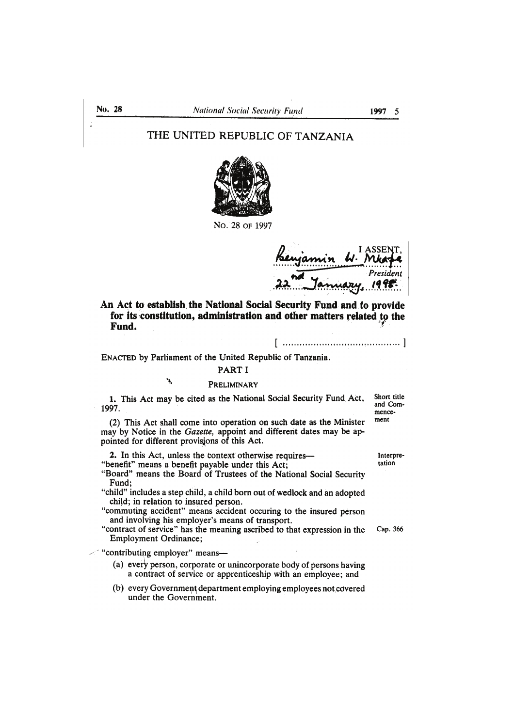# THE UNITED REPUBLIC OF TANZANIA



No. 28 or 1997

jamin W. Mka  $President$ 

An Act to establish the National Social Security Fund and to provide for its constitution, administration and other matters related to the Fund.

ENACTED by Parliament of the United Republic of Tanzania.

# **PART I**

#### PRELIMINARY

1. This Act may be cited as the National Social Security Fund Act, 1997.

(2) This Act shall come into operation on such date as the Minister may by Notice in the Gazette, appoint and different dates may be appointed for different provisions of this Act.

2. In this Act, unless the context otherwise requires— "benefit" means a benefit payable under this Act;

"Board" means the Board of Trustees of the National Social Security Fund;

"child" includes a step child, a child born out of wedlock and an adopted child; in relation to insured person.

"commuting accident" means accident occuring to the insured person and involving his employer's means of transport.

"contract of service" has the meaning ascribed to that expression in the **Employment Ordinance;** 

 $\ll$  "contributing employer" means-

٦

(a) every person, corporate or unincorporate body of persons having a contract of service or apprenticeship with an employee; and

(b) every Government department employing employees not covered under the Government.

Interpre-

tation

Short title and Com-

mencement

Cap. 366

No. 28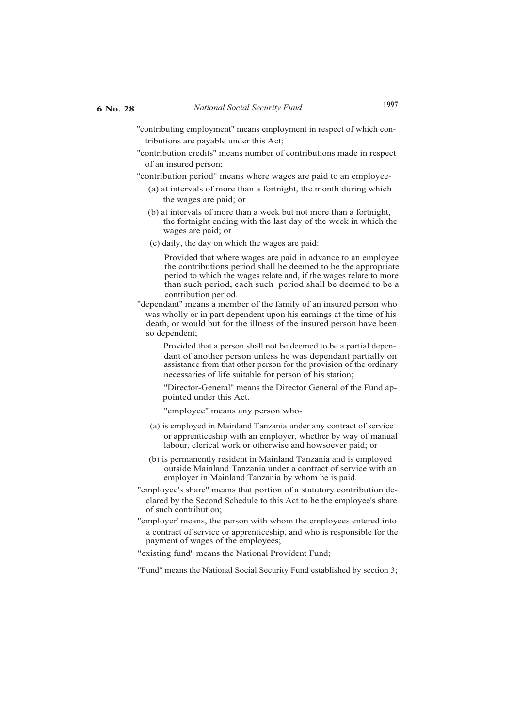''contributing employment'' means employment in respect of which contributions are payable under this Act;

''contribution credits'' means number of contributions made in respect of an insured person;

''contribution period" means where wages are paid to an employee-

- (a) at intervals of more than a fortnight, the month during which the wages are paid; or
- (b) at intervals of more than a week but not more than a fortnight, the fortnight ending with the last day of the week in which the wages are paid; or
- (c) daily, the day on which the wages are paid:

Provided that where wages are paid in advance to an employee the contributions period shall be deemed to be the appropriate period to which the wages relate and, if the wages relate to more than such period, each such period shall be deemed to be a contribution period.

"dependant" means a member of the family of an insured person who was wholly or in part dependent upon his earnings at the time of his death, or would but for the illness of the insured person have been so dependent;

> Provided that a person shall not be deemed to be a partial dependant of another person unless he was dependant partially on assistance from that other person for the provision of the ordinary necessaries of life suitable for person of his station;

> ''Director-General'' means the Director General of the Fund appointed under this Act.

''employee'' means any person who-

- (a) is employed in Mainland Tanzania under any contract of service or apprenticeship with an employer, whether by way of manual labour, clerical work or otherwise and howsoever paid; or
- (b) is permanently resident in Mainland Tanzania and is employed outside Mainland Tanzania under a contract of service with an employer in Mainland Tanzania by whom he is paid.
- ''employee's share'' means that portion of a statutory contribution declared by the Second Schedule to this Act to he the employee's share of such contribution;
- ''employer' means, the person with whom the employees entered into a contract of service or apprenticeship, and who is responsible for the payment of wages of the employees;

"existing fund'' means the National Provident Fund;

''Fund'' means the National Social Security Fund established by section 3;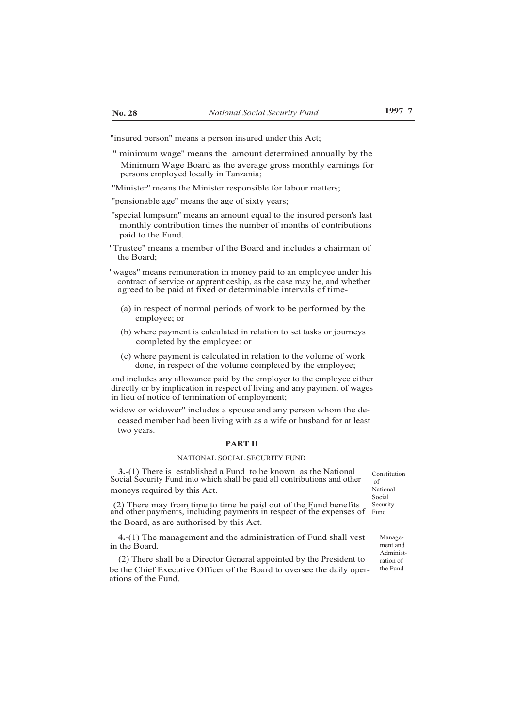''insured person'' means a person insured under this Act;

" minimum wage'' means the amount determined annually by the Minimum Wage Board as the average gross monthly earnings for persons employed locally in Tanzania;

''Minister'' means the Minister responsible for labour matters;

''pensionable age'' means the age of sixty years;

- ''special lumpsum'' means an amount equal to the insured person's last monthly contribution times the number of months of contributions paid to the Fund.
- ''Trustee'' means a member of the Board and includes a chairman of the Board;

"wages'' means remuneration in money paid to an employee under his contract of service or apprenticeship, as the case may be, and whether agreed to be paid at fixed or determinable intervals of time-

- (a) in respect of normal periods of work to be performed by the employee; or
- (b) where payment is calculated in relation to set tasks or journeys completed by the employee: or
- (c) where payment is calculated in relation to the volume of work done, in respect of the volume completed by the employee;

and includes any allowance paid by the employer to the employee either directly or by implication in respect of living and any payment of wages in lieu of notice of termination of employment;

widow or widower'' includes a spouse and any person whom the deceased member had been living with as a wife or husband for at least two years.

# **PART II**

#### NATIONAL SOCIAL SECURITY FUND

**3.**-(1) There is established a Fund to be known as the National Social Security Fund into which shall be paid all contributions and other moneys required by this Act.

Constitution of National Social Security

(2) There may from time to time be paid out of the Fund benefits and other payments, including payments in respect of the expenses of Fund the Board, as are authorised by this Act.

**4.**-(1) The management and the administration of Fund shall vest in the Board.

(2) There shall be a Director General appointed by the President to be the Chief Executive Officer of the Board to oversee the daily operations of the Fund.

Management and Administration of the Fund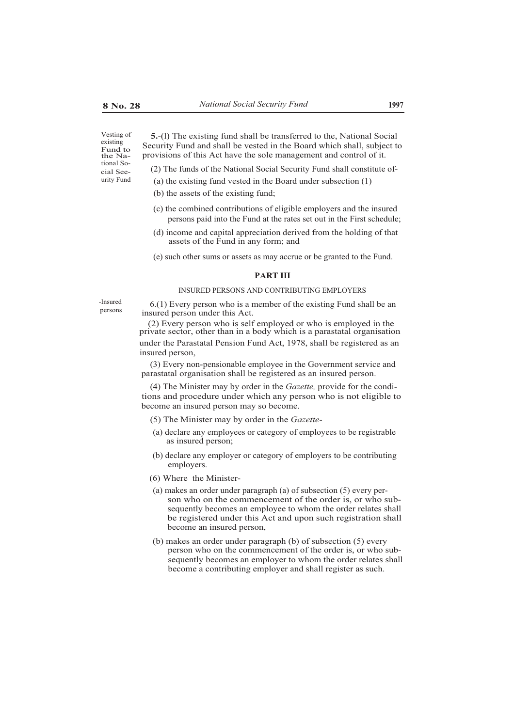existing Fund to the National So-

cial Seeurity Fund

Vesting of **5.**-(l) The existing fund shall be transferred to the, National Social Security Fund and shall be vested in the Board which shall, subject to provisions of this Act have the sole management and control of it.

(2) The funds of the National Social Security Fund shall constitute of-

- (a) the existing fund vested in the Board under subsection (1)
- (b) the assets of the existing fund;
- (c) the combined contributions of eligible employers and the insured persons paid into the Fund at the rates set out in the First schedule;
- (d) income and capital appreciation derived from the holding of that assets of the Fund in any form; and
- (e) such other sums or assets as may accrue or be granted to the Fund.

#### **PART III**

### INSURED PERSONS AND CONTRIBUTING EMPLOYERS

-Insured 6.(1) Every person who is a member of the existing Fund shall be an insured person under this  $\Lambda$  of insured person under this Act.

> (2) Every person who is self employed or who is employed in the private sector, other than in a body which is a parastatal organisation under the Parastatal Pension Fund Act, 1978, shall be registered as an insured person,

(3) Every non-pensionable employee in the Government service and parastatal organisation shall be registered as an insured person.

(4) The Minister may by order in the *Gazette,* provide for the conditions and procedure under which any person who is not eligible to become an insured person may so become.

- (5) The Minister may by order in the *Gazette-*
- (a) declare any employees or category of employees to be registrable as insured person;
- (b) declare any employer or category of employers to be contributing employers.
- (6) Where the Minister-
- (a) makes an order under paragraph (a) of subsection (5) every person who on the commencement of the order is, or who subsequently becomes an employee to whom the order relates shall be registered under this Act and upon such registration shall become an insured person,
- (b) makes an order under paragraph (b) of subsection (5) every person who on the commencement of the order is, or who subsequently becomes an employer to whom the order relates shall become a contributing employer and shall register as such.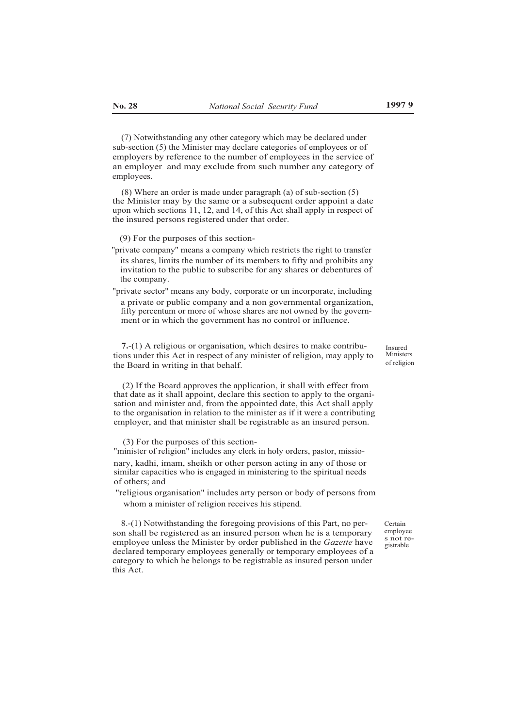(7) Notwithstanding any other category which may be declared under sub-section (5) the Minister may declare categories of employees or of employers by reference to the number of employees in the service of an employer and may exclude from such number any category of employees.

(8) Where an order is made under paragraph (a) of sub-section (5) the Minister may by the same or a subsequent order appoint a date upon which sections 11, 12, and 14, of this Act shall apply in respect of the insured persons registered under that order.

(9) For the purposes of this section-

''private company'' means a company which restricts the right to transfer its shares, limits the number of its members to fifty and prohibits any invitation to the public to subscribe for any shares or debentures of the company.

"private sector'' means any body, corporate or un incorporate, including a private or public company and a non governmental organization, fifty percentum or more of whose shares are not owned by the government or in which the government has no control or influence.

**7.**-(1) A religious or organisation, which desires to make contributions under this Act in respect of any minister of religion, may apply to the Board in writing in that behalf.

(2) If the Board approves the application, it shall with effect from that date as it shall appoint, declare this section to apply to the organisation and minister and, from the appointed date, this Act shall apply to the organisation in relation to the minister as if it were a contributing employer, and that minister shall be registrable as an insured person.

(3) For the purposes of this section-

"minister of religion'' includes any clerk in holy orders, pastor, missionary, kadhi, imam, sheikh or other person acting in any of those or similar capacities who is engaged in ministering to the spiritual needs of others; and

"religious organisation'' includes arty person or body of persons from whom a minister of religion receives his stipend.

8.-(1) Notwithstanding the foregoing provisions of this Part, no person shall be registered as an insured person when he is a temporary employee unless the Minister by order published in the *Gazette* have declared temporary employees generally or temporary employees of a category to which he belongs to be registrable as insured person under this Act.

Certain employee s not registrable

Insured Ministers of religion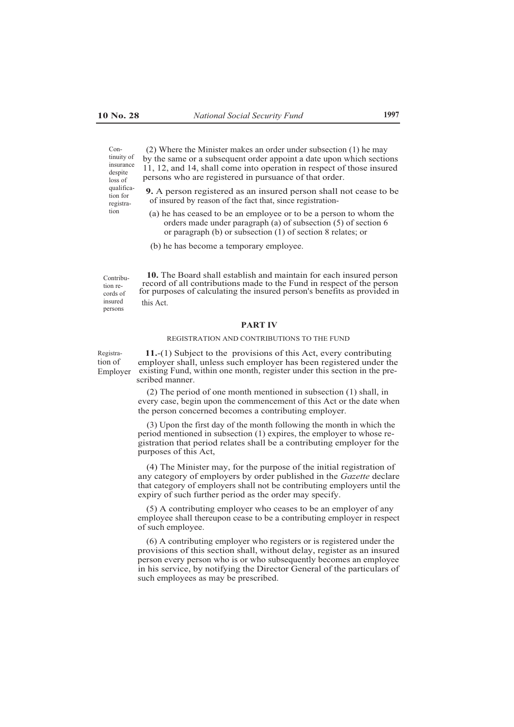Con-

despite loss of qualification for registration

(2) Where the Minister makes an order under subsection (1) he may by the same or a subsequent order appoint a date upon which sections 11, 12, and 14, shall come into operation in respect of those insured persons who are registered in pursuance of that order. tinuity of insurance

> **9.** A person registered as an insured person shall not cease to be of insured by reason of the fact that, since registration-

- (a) he has ceased to be an employee or to be a person to whom the orders made under paragraph (a) of subsection (5) of section 6 or paragraph (b) or subsection (1) of section 8 relates; or
- (b) he has become a temporary employee.

Contribution records of insured persons

**10.** The Board shall establish and maintain for each insured person record of all contributions made to the Fund in respect of the person for purposes of calculating the insured person's benefits as provided in this Act.

#### **PART IV**

# REGISTRATION AND CONTRIBUTIONS TO THE FUND

Registration of Employer

**11.**-(1) Subject to the provisions of this Act, every contributing employer shall, unless such employer has been registered under the existing Fund, within one month, register under this section in the prescribed manner.

(2) The period of one month mentioned in subsection (1) shall, in every case, begin upon the commencement of this Act or the date when the person concerned becomes a contributing employer.

(3) Upon the first day of the month following the month in which the period mentioned in subsection (1) expires, the employer to whose registration that period relates shall be a contributing employer for the purposes of this Act,

(4) The Minister may, for the purpose of the initial registration of any category of employers by order published in the *Gazette* declare that category of employers shall not be contributing employers until the expiry of such further period as the order may specify.

(5) A contributing employer who ceases to be an employer of any employee shall thereupon cease to be a contributing employer in respect of such employee.

(6) A contributing employer who registers or is registered under the provisions of this section shall, without delay, register as an insured person every person who is or who subsequently becomes an employee in his service, by notifying the Director General of the particulars of such employees as may be prescribed.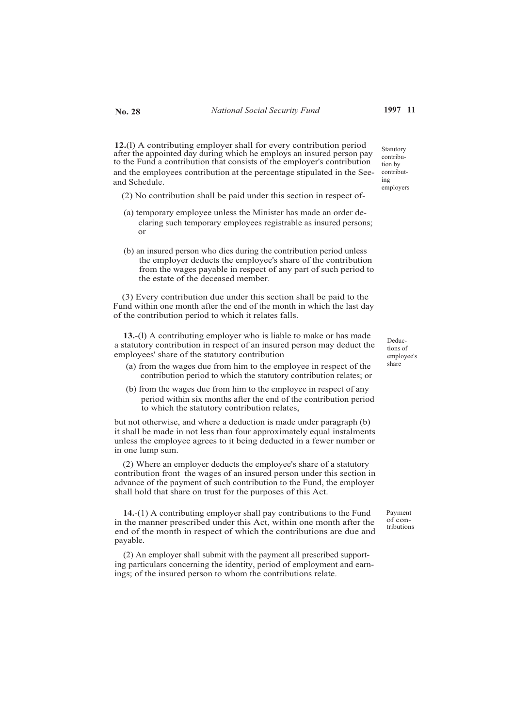**12.**(l) A contributing employer shall for every contribution period after the appointed day during which he employs an insured person pay to the Fund a contribution that consists of the employer's contribution and the employees contribution at the percentage stipulated in the Seeand Schedule.

- (2) No contribution shall be paid under this section in respect of-
- (a) temporary employee unless the Minister has made an order declaring such temporary employees registrable as insured persons; or
- (b) an insured person who dies during the contribution period unless the employer deducts the employee's share of the contribution from the wages payable in respect of any part of such period to the estate of the deceased member.

(3) Every contribution due under this section shall be paid to the Fund within one month after the end of the month in which the last day of the contribution period to which it relates falls.

**13.**-(l) A contributing employer who is liable to make or has made a statutory contribution in respect of an insured person may deduct the employees' share of the statutory contribution

- (a) from the wages due from him to the employee in respect of the contribution period to which the statutory contribution relates; or
- (b) from the wages due from him to the employee in respect of any period within six months after the end of the contribution period to which the statutory contribution relates,

but not otherwise, and where a deduction is made under paragraph (b) it shall be made in not less than four approximately equal instalments unless the employee agrees to it being deducted in a fewer number or in one lump sum.

(2) Where an employer deducts the employee's share of a statutory contribution front the wages of an insured person under this section in advance of the payment of such contribution to the Fund, the employer shall hold that share on trust for the purposes of this Act.

**14.**-(1) A contributing employer shall pay contributions to the Fund in the manner prescribed under this Act, within one month after the end of the month in respect of which the contributions are due and payable.

(2) An employer shall submit with the payment all prescribed supporting particulars concerning the identity, period of employment and earnings; of the insured person to whom the contributions relate.

Deductions of employee's share

Payment of contributions

Statutory contribution by contributing employers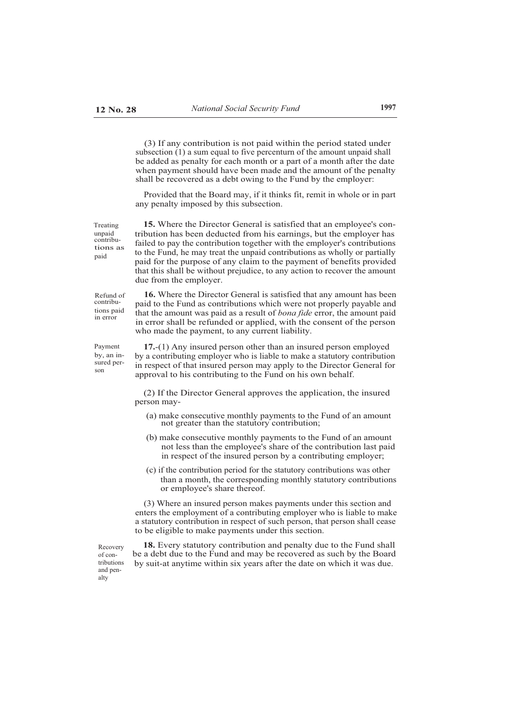(3) If any contribution is not paid within the period stated under subsection (1) a sum equal to five percenturn of the amount unpaid shall be added as penalty for each month or a part of a month after the date when payment should have been made and the amount of the penalty shall be recovered as a debt owing to the Fund by the employer:

Provided that the Board may, if it thinks fit, remit in whole or in part any penalty imposed by this subsection.

Treating unpaid contributions as paid

**15.** Where the Director General is satisfied that an employee's contribution has been deducted from his earnings, but the employer has failed to pay the contribution together with the employer's contributions to the Fund, he may treat the unpaid contributions as wholly or partially paid for the purpose of any claim to the payment of benefits provided that this shall be without prejudice, to any action to recover the amount due from the employer.

Refund of contributions paid in error

Payment by, an insured person

**16.** Where the Director General is satisfied that any amount has been paid to the Fund as contributions which were not properly payable and that the amount was paid as a result of *bona fide* error, the amount paid in error shall be refunded or applied, with the consent of the person who made the payment, to any current liability.

**17.**-(1) Any insured person other than an insured person employed by a contributing employer who is liable to make a statutory contribution in respect of that insured person may apply to the Director General for approval to his contributing to the Fund on his own behalf.

(2) If the Director General approves the application, the insured person may-

- (a) make consecutive monthly payments to the Fund of an amount not greater than the statutory contribution;
- (b) make consecutive monthly payments to the Fund of an amount not less than the employee's share of the contribution last paid in respect of the insured person by a contributing employer;
- (c) if the contribution period for the statutory contributions was other than a month, the corresponding monthly statutory contributions or employee's share thereof.

(3) Where an insured person makes payments under this section and enters the employment of a contributing employer who is liable to make a statutory contribution in respect of such person, that person shall cease to be eligible to make payments under this section.

Recovery of contributions and penalty

**18.** Every statutory contribution and penalty due to the Fund shall be a debt due to the Fund and may be recovered as such by the Board by suit-at anytime within six years after the date on which it was due.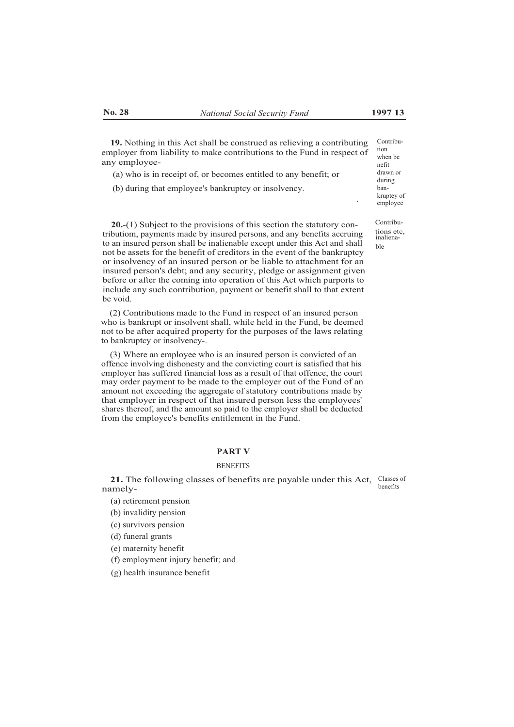**19.** Nothing in this Act shall be construed as relieving a contributing employer from liability to make contributions to the Fund in respect of any employee-

(a) who is in receipt of, or becomes entitled to any benefit; or

(b) during that employee's bankruptcy or insolvency.

Contribution when be nefit drawn or during bankruptey of employee

tions etc, inalienable

.

**20.**-(1) Subject to the provisions of this section the statutory contributiom, payments made by insured persons, and any benefits accruing to an insured person shall be inalienable except under this Act and shall not be assets for the benefit of creditors in the event of the bankruptcy or insolvency of an insured person or be liable to attachment for an insured person's debt; and any security, pledge or assignment given before or after the coming into operation of this Act which purports to include any such contribution, payment or benefit shall to that extent be void.

(2) Contributions made to the Fund in respect of an insured person who is bankrupt or insolvent shall, while held in the Fund, be deemed not to be after acquired property for the purposes of the laws relating to bankruptcy or insolvency-.

(3) Where an employee who is an insured person is convicted of an offence involving dishonesty and the convicting court is satisfied that his employer has suffered financial loss as a result of that offence, the court may order payment to be made to the employer out of the Fund of an amount not exceeding the aggregate of statutory contributions made by that employer in respect of that insured person less the employees' shares thereof, and the amount so paid to the employer shall be deducted from the employee's benefits entitlement in the Fund.

### **PART V**

#### **BENEFITS**

21. The following classes of benefits are payable under this Act, Classes of namely benefits

- (a) retirement pension
- (b) invalidity pension
- (c) survivors pension
- (d) funeral grants
- (e) maternity benefit
- (f) employment injury benefit; and
- (g) health insurance benefit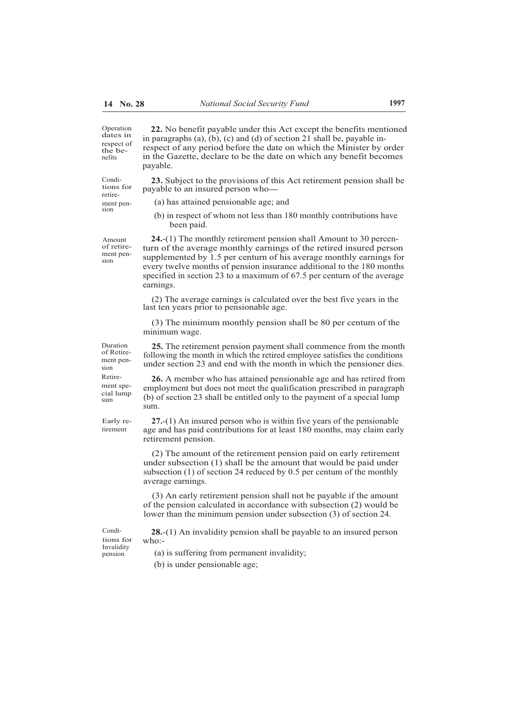dates in respect of the benefits

retiresion

Amount of retirement pension

Duration of Retirement pension

ment special lump sum

Early retirement

Operation **22.** No benefit payable under this Act except the benefits mentioned in paragraphs (a), (b), (c) and (d) of section 21 shall be, payable inrespect of any period before the date on which the Minister by order in the Gazette, declare to be the date on which any benefit becomes payable.

Condi- **23.** Subject to the provisions of this Act retirement pension shall be payable to an insured person who-

- ment pen- (a) has attained pensionable age; and
	- (b) in respect of whom not less than 180 monthly contributions have been paid.

**24.**-(1) The monthly retirement pension shall Amount to 30 percenturn of the average monthly earnings of the retired insured person supplemented by 1.5 per centurn of his average monthly earnings for every twelve months of pension insurance additional to the 180 months specified in section 23 to a maximum of 67.5 per centurn of the average earnings.

(2) The average earnings is calculated over the best five years in the last ten years prior to pensionable age.

(3) The minimum monthly pension shall be 80 per centum of the minimum wage.

**25.** The retirement pension payment shall commence from the month following the month in which the retired employee satisfies the conditions under section 23 and end with the month in which the pensioner dies.

Retire- **26.** A member who has attained pensionable age and has retired from employment but does not meet the qualification prescribed in paragraph (b) of section 23 shall be entitled only to the payment of a special lump sum.

> **27.**-(1) An insured person who is within five years of the pensionable age and has paid contributions for at least 180 months, may claim early retirement pension.

(2) The amount of the retirement pension paid on early retirement under subsection (1) shall be the amount that would be paid under subsection (1) of section 24 reduced by 0.5 per centum of the monthly average earnings.

(3) An early retirement pension shall not be payable if the amount of the pension calculated in accordance with subsection (2) would be lower than the minimum pension under subsection (3) of section 24.

tions for who:- Invalidity pension

Condi- **28.**-(1) An invalidity pension shall be payable to an insured person

(a) is suffering from permanent invalidity;

(b) is under pensionable age;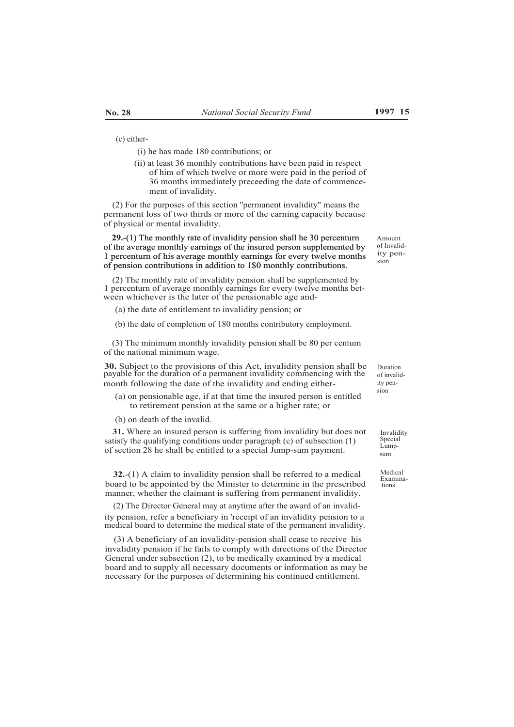(c) either-

(i) he has made 180 contributions; or

(ii) at least 36 monthly contributions have been paid in respect of him of which twelve or more were paid in the period of 36 months immediately preceeding the date of commence ment of invalidity.

(2) For the purposes of this section ''permanent invalidity'' means the permanent loss of two thirds or more of the earning capacity because of physical or mental invalidity.

**29.**-(1) The monthly rate of invalidity pension shall he 30 percenturn 29.-(1) of the average monthly earnings of the insured person supplemented by 1 percenturn of his average monthly earnings for every twelve months of pension contributions in addition to 1\$0 monthly contributions.

(2) The monthly rate of invalidity pension shall be supplemented by 1 percenturn of average monthly earnings for every twelve months between whichever is the later of the pensionable age and-

(a) the date of entitlement to invalidity pension; or

(b) the date of completion of 180 months contributory employment.

(3) The minimum monthly invalidity pension shall be 80 per centum of the national minimum wage.

**30.** Subject to the provisions of this Act, invalidity pension shall be payable for the duration of a permanent invalidity commencing with the month following the date of the invalidity and ending either-

(a) on pensionable age, if at that time the insured person is entitled to retirement pension at the same or a higher rate; or

(b) on death of the invalid.

**31.** Where an insured person is suffering from invalidity but does not satisfy the qualifying conditions under paragraph (c) of subsection (1) of section 28 he shall be entitled to a special Jump-sum payment.

**32.**-(1) A claim to invalidity pension shall be referred to a medical  $\frac{\text{Median}}{\text{Domain}}$ board to be appointed by the Minister to determine in the prescribed manner, whether the claimant is suffering from permanent invalidity.

(2) The Director General may at anytime after the award of an invalidity pension, refer a beneficiary in 'receipt of an invalidity pension to a medical board to determine the medical state of the permanent invalidity.

(3) A beneficiary of an invalidity-pension shall cease to receive his invalidity pension if he fails to comply with directions of the Director General under subsection (2), to be medically examined by a medical board and to supply all necessary documents or information as may be necessary for the purposes of determining his continued entitlement.

Amount of Invalidity pension

Duration of invalidity pension

> Invalidity Special Lumpsum

Examinations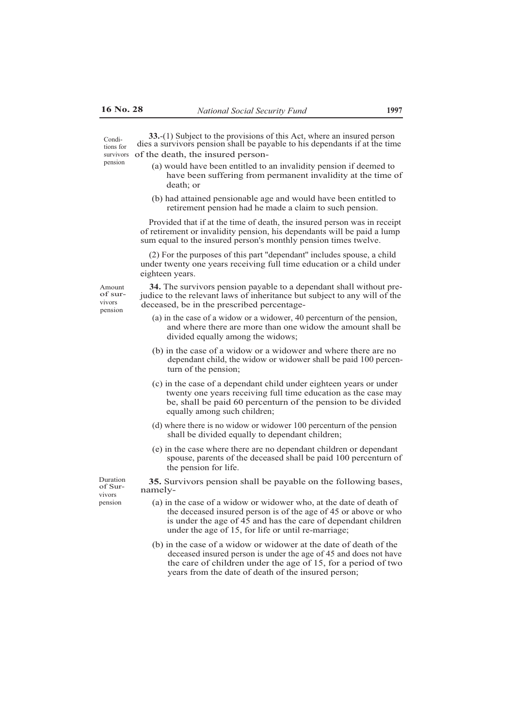**33.**-(1) Subject to the provisions of this Act, where an insured person dies a survivors pension shall be payable to his dependants if at the time of the death, the insured person- Conditions for survivors pension

- (a) would have been entitled to an invalidity pension if deemed to have been suffering from permanent invalidity at the time of death; or
- (b) had attained pensionable age and would have been entitled to retirement pension had he made a claim to such pension.

Provided that if at the time of death, the insured person was in receipt of retirement or invalidity pension, his dependants will be paid a lump sum equal to the insured person's monthly pension times twelve.

(2) For the purposes of this part ''dependant'' includes spouse, a child under twenty one years receiving full time education or a child under eighteen years.

Amount of survivors pension

**34.** The survivors pension payable to a dependant shall without prejudice to the relevant laws of inheritance but subject to any will of the deceased, be in the prescribed percentage-

- (a) in the case of a widow or a widower, 40 percenturn of the pension, and where there are more than one widow the amount shall be divided equally among the widows;
- (b) in the case of a widow or a widower and where there are no dependant child, the widow or widower shall be paid 100 percenturn of the pension;
- (c) in the case of a dependant child under eighteen years or under twenty one years receiving full time education as the case may be, shall be paid 60 percenturn of the pension to be divided equally among such children;
- (d) where there is no widow or widower 100 percenturn of the pension shall be divided equally to dependant children;
- (e) in the case where there are no dependant children or dependant spouse, parents of the deceased shall be paid 100 percenturn of the pension for life.

Duration **35.** Survivors pension shall be payable on the following bases, namelyvivors

- pension (a) in the case of a widow or widower who, at the date of death of
	- the deceased insured person is of the age of 45 or above or who is under the age of 45 and has the care of dependant children under the age of 15, for life or until re-marriage;
	- (b) in the case of a widow or widower at the date of death of the deceased insured person is under the age of 45 and does not have the care of children under the age of 15, for a period of two years from the date of death of the insured person;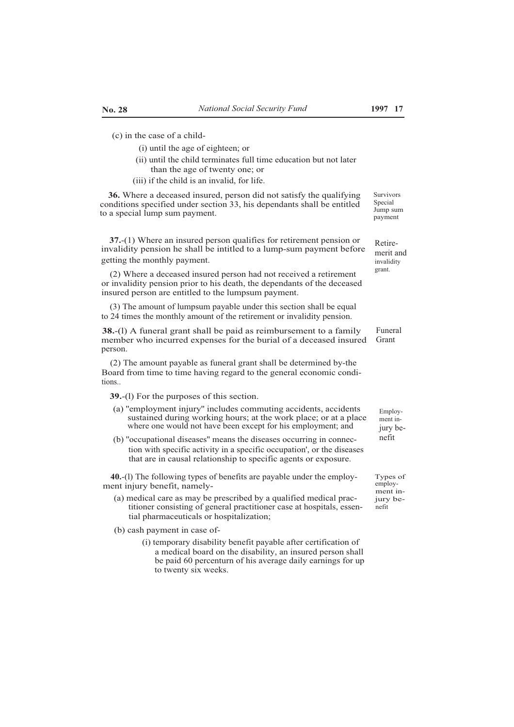(c) in the case of a child-

- (i) until the age of eighteen; or
- (ii) until the child terminates full time education but not later than the age of twenty one; or
- (iii) if the child is an invalid, for life.

**36.** Where a deceased insured, person did not satisfy the qualifying conditions specified under section 33, his dependants shall be entitled to a special lump sum payment.

**37.**-(1) Where an insured person qualifies for retirement pension or invalidity pension he shall be intitled to a lump-sum payment before getting the monthly payment.

(2) Where a deceased insured person had not received a retirement or invalidity pension prior to his death, the dependants of the deceased insured person are entitled to the lumpsum payment.

(3) The amount of lumpsum payable under this section shall be equal to 24 times the monthly amount of the retirement or invalidity pension.

**38.**-(l) A funeral grant shall be paid as reimbursement to a family member who incurred expenses for the burial of a deceased insured person.

(2) The amount payable as funeral grant shall be determined by-the Board from time to time having regard to the general economic conditions..

**39.**-(l) For the purposes of this section.

- (a) ''employment injury'' includes commuting accidents, accidents sustained during working hours; at the work place; or at a place where one would not have been except for his employment; and
- (b) ''occupational diseases'' means the diseases occurring in connection with specific activity in a specific occupation', or the diseases that are in causal relationship to specific agents or exposure.

**40.**-(l) The following types of benefits are payable under the employment injury benefit, namely-

- $(a)$  medical care as may be prescribed by a qualified medical practitioner consisting of general practitioner case at hospitals, essential pharmaceuticals or hospitalization;
- (b) cash payment in case of-
	- (i) temporary disability benefit payable after certification of a medical board on the disability, an insured person shall be paid 60 percenturn of his average daily earnings for up to twenty six weeks.

Survivors **Special** Jump sum payment

Retiremerit and invalidity grant.

Funeral Grant

> Employment injury benefit

Types of employment in-<br>jury benefit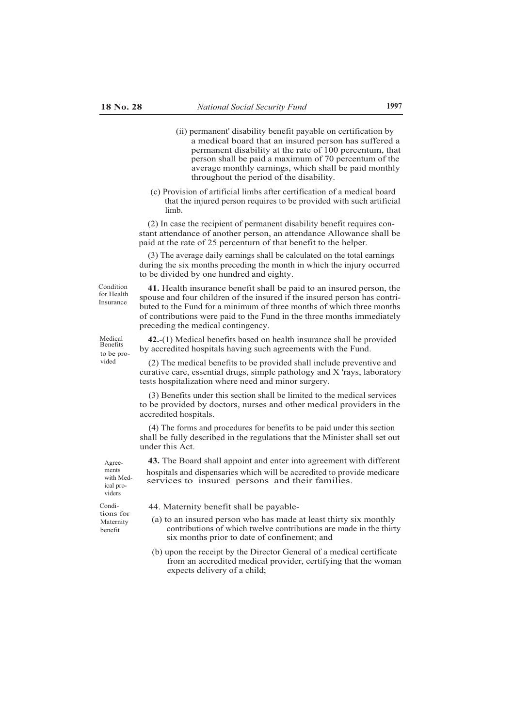- (ii) permanent' disability benefit payable on certification by a medical board that an insured person has suffered a permanent disability at the rate of 100 percentum, that person shall be paid a maximum of 70 percentum of the average monthly earnings, which shall be paid monthly throughout the period of the disability.
- (c) Provision of artificial limbs after certification of a medical board that the injured person requires to be provided with such artificial limb.

(2) In case the recipient of permanent disability benefit requires constant attendance of another person, an attendance Allowance shall be paid at the rate of 25 percenturn of that benefit to the helper.

(3) The average daily earnings shall be calculated on the total earnings during the six months preceding the month in which the injury occurred to be divided by one hundred and eighty.

for Health Insurance

Medical Benefits to be pro-

Condition **41.** Health insurance benefit shall be paid to an insured person, the spouse and four children of the insured if the insured person has contributed to the Fund for a minimum of three months of which three months of contributions were paid to the Fund in the three months immediately preceding the medical contingency.

> **42.**-(1) Medical benefits based on health insurance shall be provided by accredited hospitals having such agreements with the Fund.

(2) The medical benefits to be provided shall include preventive and curative care, essential drugs, simple pathology and X 'rays, laboratory tests hospitalization where need and minor surgery.

(3) Benefits under this section shall be limited to the medical services to be provided by doctors, nurses and other medical providers in the accredited hospitals.

(4) The forms and procedures for benefits to be paid under this section shall be fully described in the regulations that the Minister shall set out under this Act.

**43.** The Board shall appoint and enter into agreement with different hospitals and dispensaries which will be accredited to provide medicare services to insured persons and their families.

ments with Medical providers

Condi- 44. Maternity benefit shall be payable-

- $(a)$  to an insured person who has made at least thirty six monthly contributions of which twelve contributions are made in the thirty six months prior to date of confinement; and
- (b) upon the receipt by the Director General of a medical certificate from an accredited medical provider, certifying that the woman expects delivery of a child;

tions for<br>Maternity

Agree-

benefit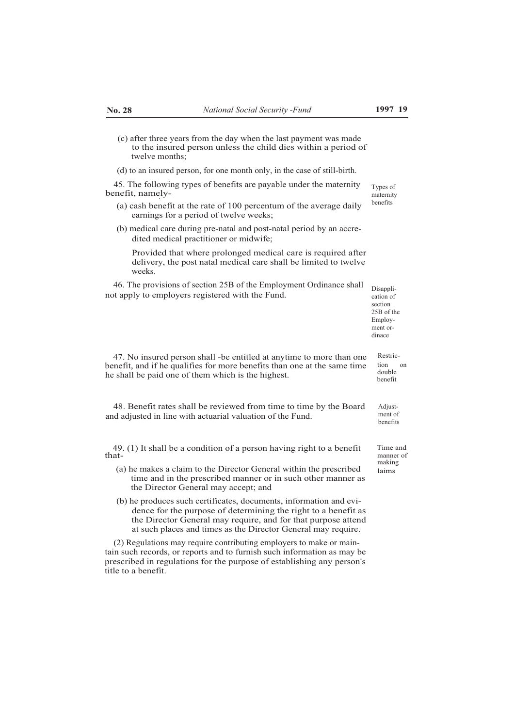- (c) after three years from the day when the last payment was made to the insured person unless the child dies within a period of twelve months;
- (d) to an insured person, for one month only, in the case of still-birth.

45. The following types of benefits are payable under the maternity benefit, namely- .

- (a) cash benefit at the rate of 100 percentum of the average daily earnings for a period of twelve weeks;
- (b) medical care during pre-natal and post-natal period by an accredited medical practitioner or midwife;

Provided that where prolonged medical care is required after delivery, the post natal medical care shall be limited to twelve weeks.

46. The provisions of section 25B of the Employment Ordinance shall not apply to employers registered with the Fund.

Disapplication of section 25B of the Employment ordinace

47. No insured person shall -be entitled at anytime to more than one Restricbenefit, and if he qualifies for more benefits than one at the same time he shall be paid one of them which is the highest.

48. Benefit rates shall be reviewed from time to time by the Board and adjusted in line with actuarial valuation of the Fund.

49. (1) It shall be a condition of a person having right to a benefit Time and that- manner of

- (a) he makes a claim to the Director General within the prescribed  $_{\text{lains}}$ time and in the prescribed manner or in such other manner as the Director General may accept; and
- (b) he produces such certificates, documents, information and evidence for the purpose of determining the right to a benefit as the Director General may require, and for that purpose attend at such places and times as the Director General may require.

(2) Regulations may require contributing employers to make or maintain such records, or reports and to furnish such information as may be prescribed in regulations for the purpose of establishing any person's title to a benefit.

ment of benefits

Adjust-

tion on double benefit

making

Types of maternity benefits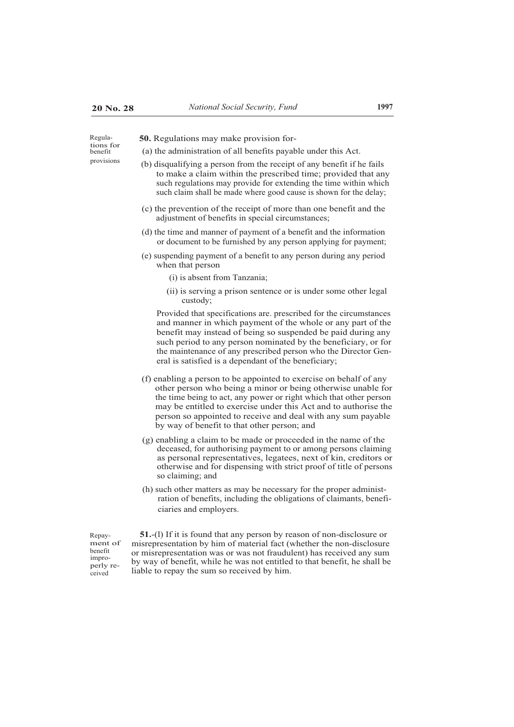tions for benefit

- Regula- **50.** Regulations may make provision for-
	- (a) the administration of all benefits payable under this Act.
- provisions (b) disqualifying a person from the receipt of any benefit if he fails to make a claim within the prescribed time; provided that any such regulations may provide for extending the time within which such claim shall be made where good cause is shown for the delay;
	- (c) the prevention of the receipt of more than one benefit and the adjustment of benefits in special circumstances;
	- (d) the time and manner of payment of a benefit and the information or document to be furnished by any person applying for payment;
	- (e) suspending payment of a benefit to any person during any period when that person
		- (i) is absent from Tanzania;
		- (ii) is serving a prison sentence or is under some other legal custody;

Provided that specifications are. prescribed for the circumstances and manner in which payment of the whole or any part of the benefit may instead of being so suspended be paid during any such period to any person nominated by the beneficiary, or for the maintenance of any prescribed person who the Director General is satisfied is a dependant of the beneficiary;

- (f) enabling a person to be appointed to exercise on behalf of any other person who being a minor or being otherwise unable for the time being to act, any power or right which that other person may be entitled to exercise under this Act and to authorise the person so appointed to receive and deal with any sum payable by way of benefit to that other person; and
- (g) enabling a claim to be made or proceeded in the name of the deceased, for authorising payment to or among persons claiming as personal representatives, legatees, next of kin, creditors or otherwise and for dispensing with strict proof of title of persons so claiming; and
- (h) such other matters as may be necessary for the proper administration of benefits, including the obligations of claimants, beneficiaries and employers.

Repayment of benefit improperly received

**51.**-(l) If it is found that any person by reason of non-disclosure or misrepresentation by him of material fact (whether the non-disclosure or misrepresentation was or was not fraudulent) has received any sum by way of benefit, while he was not entitled to that benefit, he shall be liable to repay the sum so received by him.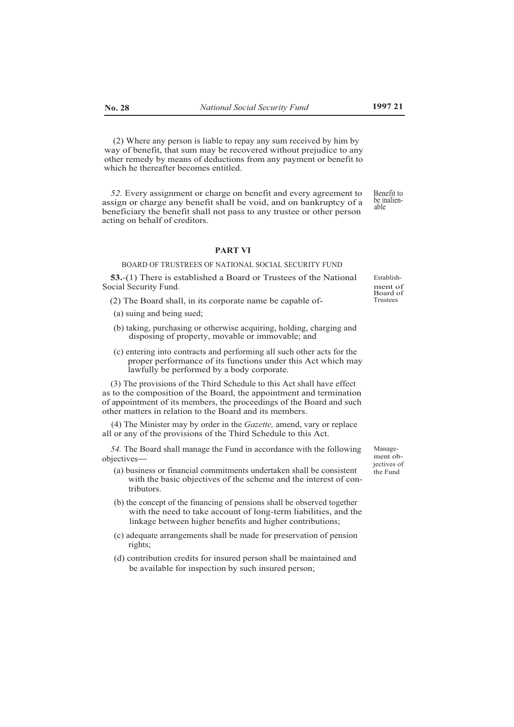(2) Where any person is liable to repay any sum received by him by way of benefit, that sum may be recovered without prejudice to any other remedy by means of deductions from any payment or benefit to which he thereafter becomes entitled.

*52.* Every assignment or charge on benefit and every agreement to assign or charge any benefit shall be void, and on bankruptcy of a beneficiary the benefit shall not pass to any trustee or other person acting on behalf of creditors. Benefit to be inalienable

#### **PART VI**

### BOARD OF TRUSTREES OF NATIONAL SOCIAL SECURITY FUND

**53.**-(1) There is established a Board or Trustees of the National Social Security Fund.

- (2) The Board shall, in its corporate name be capable of-
- (a) suing and being sued;
- (b) taking, purchasing or otherwise acquiring, holding, charging and disposing of property, movable or immovable; and
- (c) entering into contracts and performing all such other acts for the proper performance of its functions under this Act which may lawfully be performed by a body corporate.

(3) The provisions of the Third Schedule to this Act shall have effect as to the composition of the Board, the appointment and termination of appointment of its members, the proceedings of the Board and such other matters in relation to the Board and its members.

(4) The Minister may by order in the *Gazette,* amend, vary or replace all or any of the provisions of the Third Schedule to this Act.

54. The Board shall manage the Fund in accordance with the following Manageobjectives— $\overline{a}$ 

- (a) business or financial commitments undertaken shall be consistent the Fund with the basic objectives of the scheme and the interest of contributors.
- (b) the concept of the financing of pensions shall be observed together with the need to take account of long-term liabilities, and the linkage between higher benefits and higher contributions;
- (c) adequate arrangements shall be made for preservation of pension rights;
- (d) contribution credits for insured person shall be maintained and be available for inspection by such insured person;

jectives of

Establishment of Board of Trustees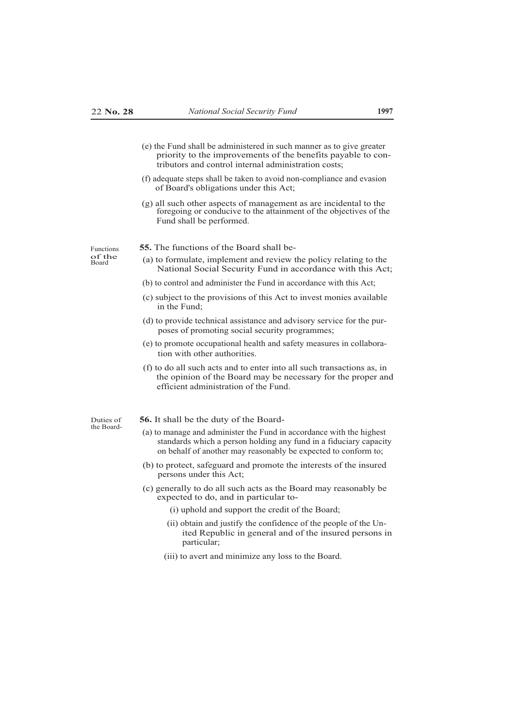- (e) the Fund shall be administered in such manner as to give greater priority to the improvements of the benefits payable to contributors and control internal administration costs;
- (f) adequate steps shall be taken to avoid non-compliance and evasion of Board's obligations under this Act;
- (g) all such other aspects of management as are incidental to the foregoing or conducive to the attainment of the objectives of the Fund shall be performed.

of the<br>Board

- Functions **55.** The functions of the Board shall be-
	- (a) to formulate, implement and review the policy relating to the National Social Security Fund in accordance with this Act;
	- (b) to control and administer the Fund in accordance with this Act;
	- (c) subject to the provisions of this Act to invest monies available in the Fund;
	- (d) to provide technical assistance and advisory service for the purposes of promoting social security programmes;
	- (e) to promote occupational health and safety measures in collaboration with other authorities.
	- (f) to do all such acts and to enter into all such transactions as, in the opinion of the Board may be necessary for the proper and efficient administration of the Fund.

the Board-

- Duties of **56.** It shall be the duty of the Board-
	- (a) to manage and administer the Fund in accordance with the highest standards which a person holding any fund in a fiduciary capacity on behalf of another may reasonably be expected to conform to;
	- (b) to protect, safeguard and promote the interests of the insured persons under this Act;
	- (c) generally to do all such acts as the Board may reasonably be expected to do, and in particular to-

(i) uphold and support the credit of the Board;

- (ii) obtain and justify the confidence of the people of the United Republic in general and of the insured persons in particular;
- (iii) to avert and minimize any loss to the Board.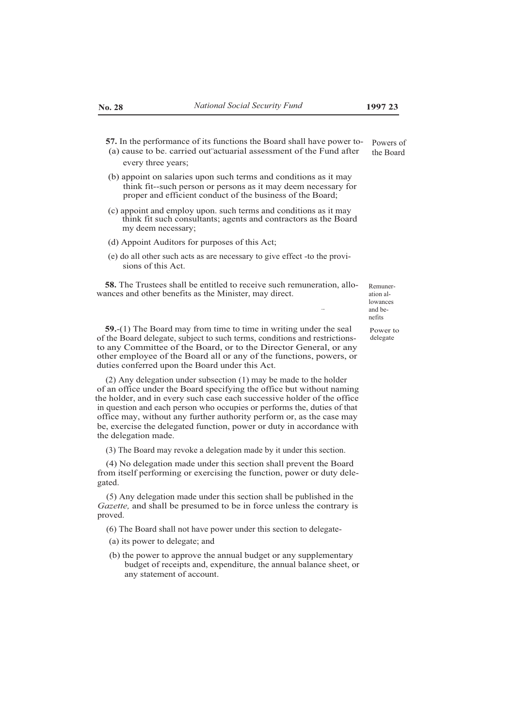...

- **57.** In the performance of its functions the Board shall have power to- (a) cause to be. carried out actuarial assessment of the Fund after Powers of the Board
	- every three years;
- (b) appoint on salaries upon such terms and conditions as it may think fit--such person or persons as it may deem necessary for proper and efficient conduct of the business of the Board;
- (c) appoint and employ upon. such terms and conditions as it may think fit such consultants; agents and contractors as the Board my deem necessary;
- (d) Appoint Auditors for purposes of this Act;
- (e) do all other such acts as are necessary to give effect -to the provisions of this Act.

**58.** The Trustees shall be entitled to receive such remuneration, allowances and other benefits as the Minister, may direct.

ation allowances and benefits

Remuner-

Power to delegate

**59.**-(1) The Board may from time to time in writing under the seal of the Board delegate, subject to such terms, conditions and restrictionsto any Committee of the Board, or to the Director General, or any other employee of the Board all or any of the functions, powers, or duties conferred upon the Board under this Act.

(2) Any delegation under subsection (1) may be made to the holder of an office under the Board specifying the office but without naming the holder, and in every such case each successive holder of the office in question and each person who occupies or performs the, duties of that office may, without any further authority perform or, as the case may be, exercise the delegated function, power or duty in accordance with the delegation made.

(3) The Board may revoke a delegation made by it under this section.

(4) No delegation made under this section shall prevent the Board from itself performing or exercising the function, power or duty delegated.

(5) Any delegation made under this section shall be published in the *Gazette,* and shall be presumed to be in force unless the contrary is proved.

- (6) The Board shall not have power under this section to delegate-
- (a) its power to delegate; and
- (b) the power to approve the annual budget or any supplementary budget of receipts and, expenditure, the annual balance sheet, or any statement of account.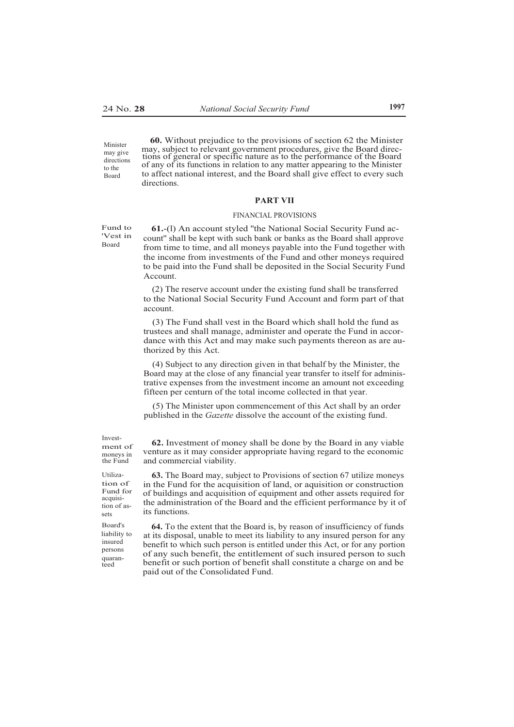**60.** Without prejudice to the provisions of section 62 the Minister may, subject to relevant government procedures, give the Board direc tions of general or specific nature as to the performance of the Board of any of its functions in relation to any matter appearing to the Minister to affect national interest, and the Board shall give effect to every such directions. Minister may give directions

#### **PART VII**

#### FINANCIAL PROVISIONS

'Vest in Board

to the Board

Fund to **61.**-(l) An account styled ''the National Social Security Fund account'' shall be kept with such bank or banks as the Board shall approve from time to time, and all moneys payable into the Fund together with the income from investments of the Fund and other moneys required to be paid into the Fund shall be deposited in the Social Security Fund Account.

> (2) The reserve account under the existing fund shall be transferred to the National Social Security Fund Account and form part of that account.

> (3) The Fund shall vest in the Board which shall hold the fund as trustees and shall manage, administer and operate the Fund in accordance with this Act and may make such payments thereon as are authorized by this Act.

> (4) Subject to any direction given in that behalf by the Minister, the Board may at the close of any financial year transfer to itself for administrative expenses from the investment income an amount not exceeding fifteen per centurn of the total income collected in that year.

(5) The Minister upon commencement of this Act shall by an order published in the *Gazette* dissolve the account of the existing fund.

ment of moneys in the Fund

Utilization of Fund for acquisition of assets

liability to insured persons quaranteed

Invest- **62.** Investment of money shall be done by the Board in any viable venture as it may consider appropriate having regard to the economic and commercial viability.

> **63.** The Board may, subject to Provisions of section 67 utilize moneys in the Fund for the acquisition of land, or aquisition or construction of buildings and acquisition of equipment and other assets required for the administration of the Board and the efficient performance by it of its functions.

Board's **64.** To the extent that the Board is, by reason of insufficiency of funds at its disposal, unable to meet its liability to any insured person for any benefit to which such person is entitled under this Act, or for any portion of any such benefit, the entitlement of such insured person to such benefit or such portion of benefit shall constitute a charge on and be paid out of the Consolidated Fund.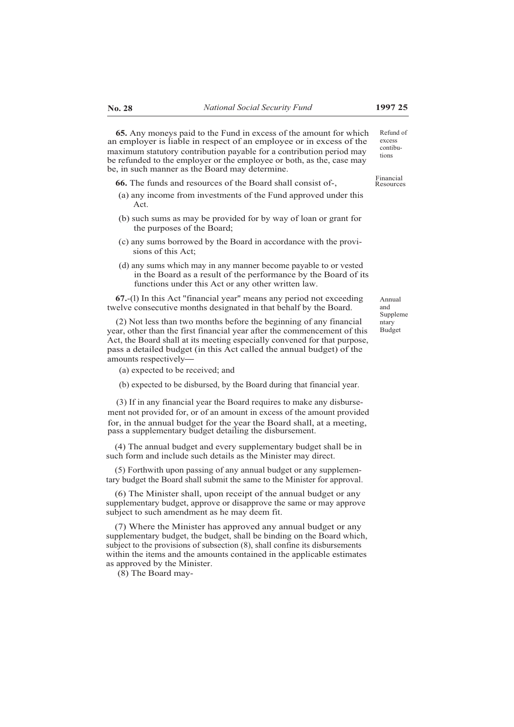**65.** Any moneys paid to the Fund in excess of the amount for which an employer is liable in respect of an employee or in excess of the maximum statutory contribution payable for a contribution period may be refunded to the employer or the employee or both, as the, case may be, in such manner as the Board may determine.

**66.** The funds and resources of the Board shall consist of-, Financial Resources

- (a) any income from investments of the Fund approved under this Act.
- (b) such sums as may be provided for by way of loan or grant for the purposes of the Board;
- (c) any sums borrowed by the Board in accordance with the provisions of this Act;
- (d) any sums which may in any manner become payable to or vested in the Board as a result of the performance by the Board of its functions under this Act or any other written law.

**67.**-(l) In this Act ''financial year'' means any period not exceeding twelve consecutive months designated in that behalf by the Board.

(2) Not less than two months before the beginning of any financial year, other than the first financial year after the commencement of this Act, the Board shall at its meeting especially convened for that purpose, pass a detailed budget (in this Act called the annual budget) of the amounts respectively

(a) expected to be received; and

(b) expected to be disbursed, by the Board during that financial year.

(3) If in any financial year the Board requires to make any disbursement not provided for, or of an amount in excess of the amount provided for, in the annual budget for the year the Board shall, at a meeting, pass a supplementary budget detailing the disbursement.

(4) The annual budget and every supplementary budget shall be in such form and include such details as the Minister may direct.

(5) Forthwith upon passing of any annual budget or any supplementary budget the Board shall submit the same to the Minister for approval.

(6) The Minister shall, upon receipt of the annual budget or any supplementary budget, approve or disapprove the same or may approve subject to such amendment as he may deem fit.

(7) Where the Minister has approved any annual budget or any supplementary budget, the budget, shall be binding on the Board which, subject to the provisions of subsection (8), shall confine its disbursements within the items and the amounts contained in the applicable estimates as approved by the Minister.

(8) The Board may-

Annual and Suppleme ntary Budget

Refund of excess contibutions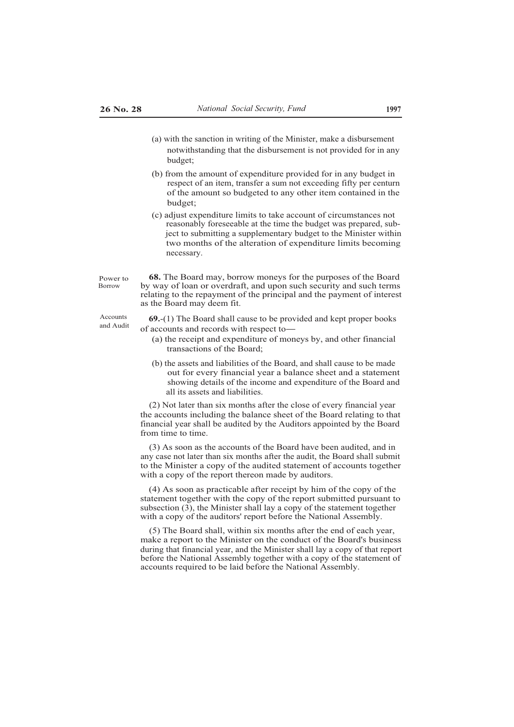- (a) with the sanction in writing of the Minister, make a disbursement notwithstanding that the disbursement is not provided for in any budget;
- (b) from the amount of expenditure provided for in any budget in respect of an item, transfer a sum not exceeding fifty per centurn of the amount so budgeted to any other item contained in the budget;
- (c) adjust expenditure limits to take account of circumstances not reasonably foreseeable at the time the budget was prepared, subject to submitting a supplementary budget to the Minister within two months of the alteration of expenditure limits becoming necessary.

Power to Borrow

**68.** The Board may, borrow moneys for the purposes of the Board by way of loan or overdraft, and upon such security and such terms relating to the repayment of the principal and the payment of interest as the Board may deem fit.

Accounts **69.**-(1) The Board shall cause to be provided and kept proper books of accounts and records with respect to-

- (a) the receipt and expenditure of moneys by, and other financial transactions of the Board;
- (b) the assets and liabilities of the Board, and shall cause to be made out for every financial year a balance sheet and a statement showing details of the income and expenditure of the Board and all its assets and liabilities.

(2) Not later than six months after the close of every financial year the accounts including the balance sheet of the Board relating to that financial year shall be audited by the Auditors appointed by the Board from time to time.

(3) As soon as the accounts of the Board have been audited, and in any case not later than six months after the audit, the Board shall submit to the Minister a copy of the audited statement of accounts together with a copy of the report thereon made by auditors.

(4) As soon as practicable after receipt by him of the copy of the statement together with the copy of the report submitted pursuant to subsection  $(3)$ , the Minister shall lay a copy of the statement together with a copy of the auditors' report before the National Assembly.

(5) The Board shall, within six months after the end of each year, make a report to the Minister on the conduct of the Board's business during that financial year, and the Minister shall lay a copy of that report before the National Assembly together with a copy of the statement of accounts required to be laid before the National Assembly.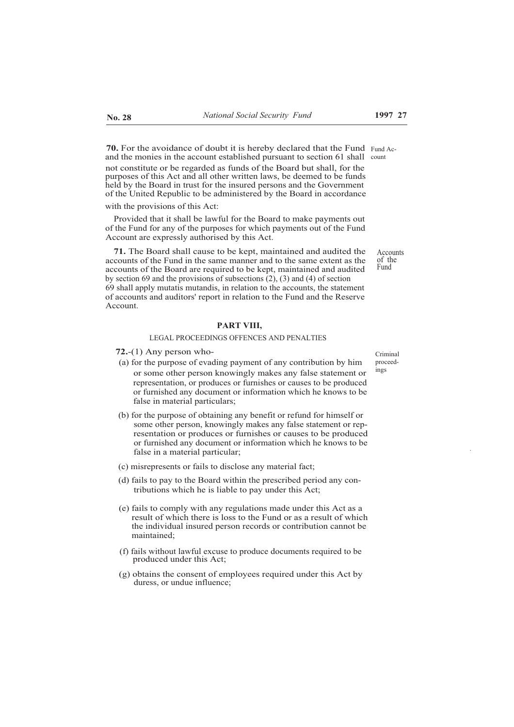**70.** For the avoidance of doubt it is hereby declared that the Fund Fund Acand the monies in the account established pursuant to section 61 shall count not constitute or be regarded as funds of the Board but shall, for the purposes of this Act and all other written laws, be deemed to be funds held by the Board in trust for the insured persons and the Government of the United Republic to be administered by the Board in accordance

with the provisions of this Act:

Provided that it shall be lawful for the Board to make payments out of the Fund for any of the purposes for which payments out of the Fund Account are expressly authorised by this Act.

**71.** The Board shall cause to be kept, maintained and audited the accounts of the Fund in the same manner and to the same extent as the accounts of the Board are required to be kept, maintained and audited by section 69 and the provisions of subsections (2), (3) and (4) of section 69 shall apply mutatis mutandis, in relation to the accounts, the statement of accounts and auditors' report in relation to the Fund and the Reserve Account.

# **PART VIII,**

# LEGAL PROCEEDINGS OFFENCES AND PENALTIES

- **72.**-(1) Any person who-
- (a) for the purpose of evading payment of any contribution by him or some other person knowingly makes any false statement or representation, or produces or furnishes or causes to be produced or furnished any document or information which he knows to be false in material particulars;
- (b) for the purpose of obtaining any benefit or refund for himself or some other person, knowingly makes any false statement or representation or produces or furnishes or causes to be produced or furnished any document or information which he knows to be false in a material particular;
- (c) misrepresents or fails to disclose any material fact;
- (d) fails to pay to the Board within the prescribed period any contributions which he is liable to pay under this Act;
- (e) fails to comply with any regulations made under this Act as a result of which there is loss to the Fund or as a result of which the individual insured person records or contribution cannot be maintained;
- (f) fails without lawful excuse to produce documents required to be produced under this Act;
- (g) obtains the consent of employees required under this Act by duress, or undue influence;

Criminal proceedings

of the Fund

Accounts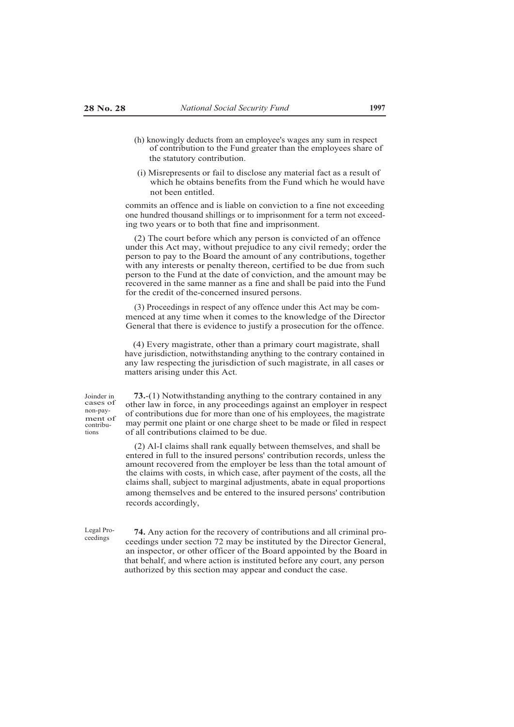- (h) knowingly deducts from an employee's wages any sum in respect of contribution to the Fund greater than the employees share of the statutory contribution.
- (i) Misrepresents or fail to disclose any material fact as a result of which he obtains benefits from the Fund which he would have not been entitled.

commits an offence and is liable on conviction to a fine not exceeding one hundred thousand shillings or to imprisonment for a term not exceeding two years or to both that fine and imprisonment.

(2) The court before which any person is convicted of an offence under this Act may, without prejudice to any civil remedy; order the person to pay to the Board the amount of any contributions, together with any interests or penalty thereon, certified to be due from such person to the Fund at the date of conviction, and the amount may be recovered in the same manner as a fine and shall be paid into the Fund for the credit of the-concerned insured persons.

(3) Proceedings in respect of any offence under this Act may be commenced at any time when it comes to the knowledge of the Director General that there is evidence to justify a prosecution for the offence.

(4) Every magistrate, other than a primary court magistrate, shall have jurisdiction, notwithstanding anything to the contrary contained in any law respecting the jurisdiction of such magistrate, in all cases or matters arising under this Act.

Joinder in cases of non-payment of contributions

**73.**-(1) Notwithstanding anything to the contrary contained in any other law in force, in any proceedings against an employer in respect of contributions due for more than one of his employees, the magistrate may permit one plaint or one charge sheet to be made or filed in respect of all contributions claimed to be due.

(2) Al-I claims shall rank equally between themselves, and shall be entered in full to the insured persons' contribution records, unless the amount recovered from the employer be less than the total amount of the claims with costs, in which case, after payment of the costs, all the claims shall, subject to marginal adjustments, abate in equal proportions among themselves and be entered to the insured persons' contribution records accordingly,

ceedings

Legal Pro- **74.** Any action for the recovery of contributions and all criminal proceedings under section 72 may be instituted by the Director General, an inspector, or other officer of the Board appointed by the Board in that behalf, and where action is instituted before any court, any person authorized by this section may appear and conduct the case.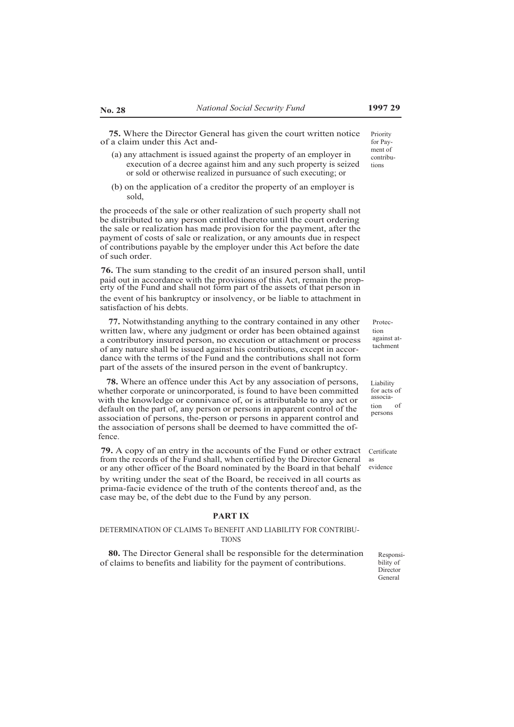**75.** Where the Director General has given the court written notice of a claim under this Act and-

- (a) any attachment is issued against the property of an employer in execution of a decree against him and any such property is seized or sold or otherwise realized in pursuance of such executing; or
- (b) on the application of a creditor the property of an employer is sold,

the proceeds of the sale or other realization of such property shall not be distributed to any person entitled thereto until the court ordering the sale or realization has made provision for the payment, after the payment of costs of sale or realization, or any amounts due in respect of contributions payable by the employer under this Act before the date of such order.

**76.** The sum standing to the credit of an insured person shall, until paid out in accordance with the provisions of this Act, remain the property of the Fund and shall not form part of the assets of that person in the event of his bankruptcy or insolvency, or be liable to attachment in satisfaction of his debts.

**77.** Notwithstanding anything to the contrary contained in any other written law, where any judgment or order has been obtained against a contributory insured person, no execution or attachment or process of any nature shall be issued against his contributions, except in accordance with the terms of the Fund and the contributions shall not form part of the assets of the insured person in the event of bankruptcy.

**78.** Where an offence under this Act by any association of persons, whether corporate or unincorporated, is found to have been committed with the knowledge or connivance of, or is attributable to any act or default on the part of, any person or persons in apparent control of the association of persons, the-person or persons in apparent control and the association of persons shall be deemed to have committed the offence.

**79.** A copy of an entry in the accounts of the Fund or other extract from the records of the Fund shall, when certified by the Director General or any other officer of the Board nominated by the Board in that behalf evidence

by writing under the seat of the Board, be received in all courts as prima-facie evidence of the truth of the contents thereof and, as the case may be, of the debt due to the Fund by any person.

# **PART IX**

#### DETERMINATION OF CLAIMS To BENEFIT AND LIABILITY FOR CONTRIBU-**TIONS**

**80.** The Director General shall be responsible for the determination of claims to benefits and liability for the payment of contributions.

Protection against attachment

Liability for acts of association of persons

Certificate as

> Responsibility of Director General

Priority for Payment of contributions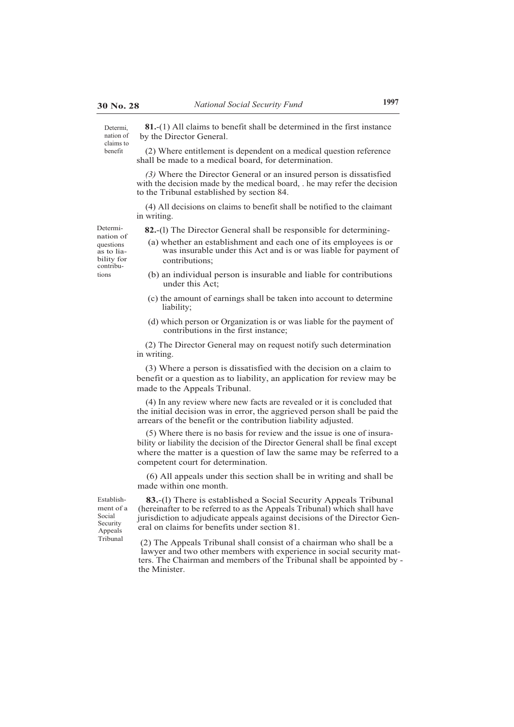benefit

**81.**-(1) All claims to benefit shall be determined in the first instance by the Director General. Determi, nation of claims to

> (2) Where entitlement is dependent on a medical question reference shall be made to a medical board, for determination.

*(3)* Where the Director General or an insured person is dissatisfied with the decision made by the medical board, . he may refer the decision to the Tribunal established by section 84.

(4) All decisions on claims to benefit shall be notified to the claimant in writing.

Determi- **82.**-(l) The Director General shall be responsible for determining-

- nation of as to liability for contribu tions
- (a) whether an establishment and each one of its employees is or was insurable under this Act and is or was liable for payment of contributions;
- (b) an individual person is insurable and liable for contributions under this Act;
- (c) the amount of earnings shall be taken into account to determine liability;
- (d) which person or Organization is or was liable for the payment of contributions in the first instance;

(2) The Director General may on request notify such determination in writing.

(3) Where a person is dissatisfied with the decision on a claim to benefit or a question as to liability, an application for review may be made to the Appeals Tribunal.

(4) In any review where new facts are revealed or it is concluded that the initial decision was in error, the aggrieved person shall be paid the arrears of the benefit or the contribution liability adjusted.

(5) Where there is no basis for review and the issue is one of insurability or liability the decision of the Director General shall be final except where the matter is a question of law the same may be referred to a competent court for determination.

(6) All appeals under this section shall be in writing and shall be made within one month.

Establishment of a Social Security Appeals

**83.**-(l) There is established a Social Security Appeals Tribunal (hereinafter to be referred to as the Appeals Tribunal) which shall have jurisdiction to adjudicate appeals against decisions of the Director General on claims for benefits under section 81.

Tribunal (2) The Appeals Tribunal shall consist of a chairman who shall be a lawyer and two other members with experience in social security matters. The Chairman and members of the Tribunal shall be appointed by the Minister.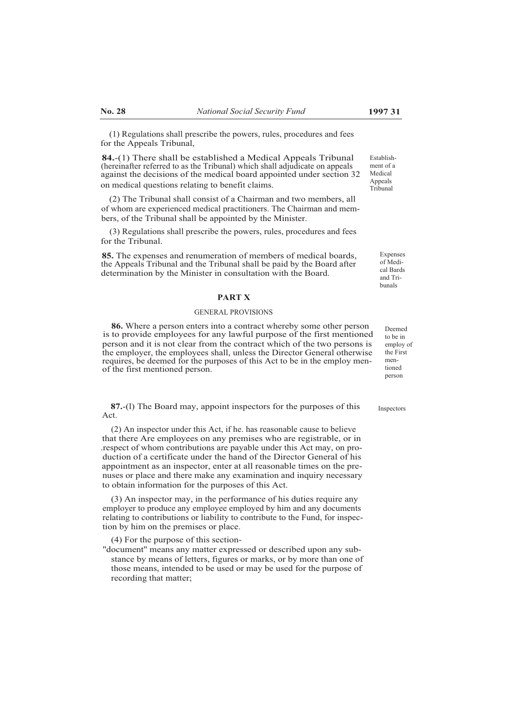(1) Regulations shall prescribe the powers, rules, procedures and fees for the Appeals Tribunal,

**84.**-(1) There shall be established a Medical Appeals Tribunal (hereinafter referred to as the Tribunal) which shall adjudicate on appeals against the decisions of the medical board appointed under section 32 on medical questions relating to benefit claims.

(2) The Tribunal shall consist of a Chairman and two members, all of whom are experienced medical practitioners. The Chairman and members, of the Tribunal shall be appointed by the Minister.

(3) Regulations shall prescribe the powers, rules, procedures and fees for the Tribunal.

**85.** The expenses and renumeration of members of medical boards, the Appeals Tribunal and the Tribunal shall be paid by the Board after determination by the Minister in consultation with the Board.

#### **PART X**

#### GENERAL PROVISIONS

**86.** Where a person enters into a contract whereby some other person is to provide employees for any lawful purpose of the first mentioned person and it is not clear from the contract which of the two persons is the employer, the employees shall, unless the Director General otherwise requires, be deemed for the purposes of this Act to be in the employ menof the first mentioned person.

**87.**-(l) The Board may, appoint inspectors for the purposes of this Act.

(2) An inspector under this Act, if he. has reasonable cause to believe that there Are employees on any premises who are registrable, or in .respect of whom contributions are payable under this Act may, on production of a certificate under the hand of the Director General of his appointment as an inspector, enter at all reasonable times on the prenuses or place and there make any examination and inquiry necessary to obtain information for the purposes of this Act.

(3) An inspector may, in the performance of his duties require any employer to produce any employee employed by him and any documents relating to contributions or liability to contribute to the Fund, for inspection by him on the premises or place.

(4) For the purpose of this section-

''document'' means any matter expressed or described upon any substance by means of letters, figures or marks, or by more than one of those means, intended to be used or may be used for the purpose of recording that matter;

Establishment of a Medical Appeals Tribunal

> Expenses of Medical Bards and Tribunals

> > Deemed to be in employ of the First mentioned person

**Inspectors**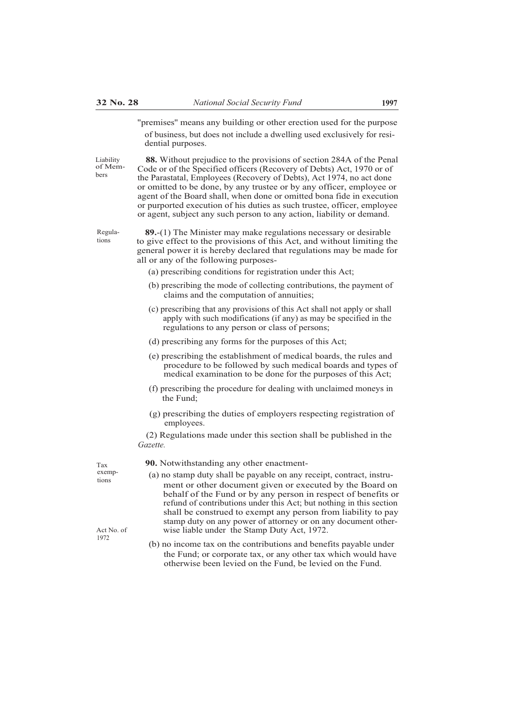"premises'' means any building or other erection used for the purpose of business, but does not include a dwelling used exclusively for residential purposes.

Liability of Members

**88.** Without prejudice to the provisions of section 284A of the Penal Code or of the Specified officers (Recovery of Debts) Act, 1970 or of the Parastatal, Employees (Recovery of Debts), Act 1974, no act done or omitted to be done, by any trustee or by any officer, employee or agent of the Board shall, when done or omitted bona fide in execution or purported execution of his duties as such trustee, officer, employee or agent, subject any such person to any action, liability or demand.

Regulations

**89.**-(1) The Minister may make regulations necessary or desirable to give effect to the provisions of this Act, and without limiting the general power it is hereby declared that regulations may be made for all or any of the following purposes-

- (a) prescribing conditions for registration under this Act;
- (b) prescribing the mode of collecting contributions, the payment of claims and the computation of annuities;
- (c) prescribing that any provisions of this Act shall not apply or shall apply with such modifications (if any) as may be specified in the regulations to any person or class of persons;
- (d) prescribing any forms for the purposes of this Act;
- (e) prescribing the establishment of medical boards, the rules and procedure to be followed by such medical boards and types of medical examination to be done for the purposes of this Act;
- (f) prescribing the procedure for dealing with unclaimed moneys in the Fund;
- (g) prescribing the duties of employers respecting registration of employees.

(2) Regulations made under this section shall be published in the *Gazette.*

 $T_{\text{ax}}$  **90.** Notwithstanding any other enactment-<br>exemp-<br> $\left(\epsilon\right)$  is a stame data shall be a smaller as a summary

- exemp-<br>
(a) no stamp duty shall be payable on any receipt, contract, instrument or other document given or executed by the Board on behalf of the Fund or by any person in respect of benefits or refund of contributions under this Act; but nothing in this section shall be construed to exempt any person from liability to pay stamp duty on any power of attorney or on any document other-Act No. of wise liable under the Stamp Duty Act, 1972.
	- (b) no income tax on the contributions and benefits payable under the Fund; or corporate tax, or any other tax which would have otherwise been levied on the Fund, be levied on the Fund.

1972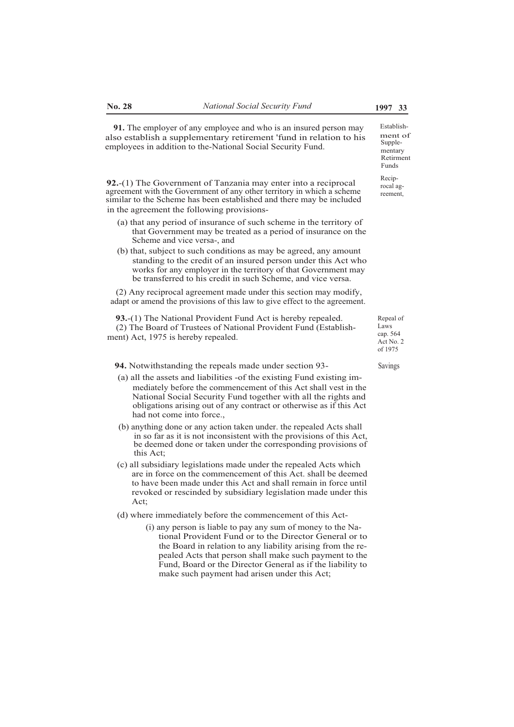ment of Supplementary Retirment Funds

Reciprocal agreement,

**91.** The employer of any employee and who is an insured person may Establishalso establish a supplementary retirement 'fund in relation to his employees in addition to the-National Social Security Fund.

**92.**-(1) The Government of Tanzania may enter into a reciprocal agreement with the Government of any other territory in which a scheme similar to the Scheme has been established and there may be included in the agreement the following provisions-

- (a) that any period of insurance of such scheme in the territory of that Government may be treated as a period of insurance on the Scheme and vice versa-, and
- (b) that, subject to such conditions as may be agreed, any amount standing to the credit of an insured person under this Act who works for any employer in the territory of that Government may be transferred to his credit in such Scheme, and vice versa.

(2) Any reciprocal agreement made under this section may modify, adapt or amend the provisions of this law to give effect to the agreement.

**93.**-(1) The National Provident Fund Act is hereby repealed. (2) The Board of Trustees of National Provident Fund (Establishment) Act, 1975 is hereby repealed.

**94.** Notwithstanding the repeals made under section 93-<br>Savings

- (a) all the assets and liabilities -of the existing Fund existing immediately before the commencement of this Act shall vest in the National Social Security Fund together with all the rights and obligations arising out of any contract or otherwise as if this Act had not come into force.,
- (b) anything done or any action taken under. the repealed Acts shall in so far as it is not inconsistent with the provisions of this Act, be deemed done or taken under the corresponding provisions of this Act;
- (c) all subsidiary legislations made under the repealed Acts which are in force on the commencement of this Act. shall be deemed to have been made under this Act and shall remain in force until revoked or rescinded by subsidiary legislation made under this  $Act$
- (d) where immediately before the commencement of this Act-
	- (i) any person is liable to pay any sum of money to the National Provident Fund or to the Director General or to the Board in relation to any liability arising from the repealed Acts that person shall make such payment to the Fund, Board or the Director General as if the liability to make such payment had arisen under this Act;

Repeal of Laws cap. 564 Act No. 2 of 1975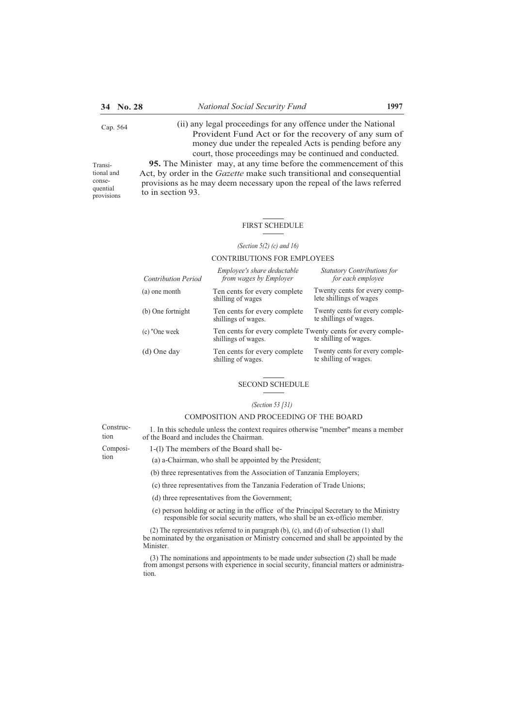to in section 93.

Transitional and consequential provisions

(ii) any legal proceedings for any offence under the National Cap. 564 Provident Fund Act or for the recovery of any sum of money due under the repealed Acts is pending before any court, those proceedings may be continued and conducted. **95.** The Minister may, at any time before the commencement of this Act, by order in the *Gazette* make such transitional and consequential provisions as he may deem necessary upon the repeal of the laws referred

# FIRST SCHEDULE

#### *(Section 5(2) (c) and 16)*

#### CONTRIBUTIONS FOR EMPLOYEES

| <b>Contribution Period</b> | Employee's share deductable<br>from wages by Employer                                                       | <b>Statutory Contributions for</b><br>for each employee  |
|----------------------------|-------------------------------------------------------------------------------------------------------------|----------------------------------------------------------|
| (a) one month              | Ten cents for every complete<br>shilling of wages                                                           | Twenty cents for every comp-<br>lete shillings of wages  |
| (b) One fortnight          | Ten cents for every complete<br>shillings of wages.                                                         | Twenty cents for every comple-<br>te shillings of wages. |
| (c) "One week              | Ten cents for every complete Twenty cents for every comple-<br>te shilling of wages.<br>shillings of wages. |                                                          |
| (d) One day                | Ten cents for every complete<br>shilling of wages.                                                          | Twenty cents for every comple-<br>te shilling of wages.  |

# SECOND SCHEDULE

#### *(Section 53 [31)*

#### COMPOSITION AND PROCEEDING OF THE BOARD

Construc- 1. In this schedule unless the context requires otherwise ''member'' means a member of the Board and includes the Chairman.

- Composi- 1-(1) The members of the Board shall be-<br>tion  $(a)$  a Chairman who shall be appointed by t
	- $(a)$  a-Chairman, who shall be appointed by the President;
	- (b) three representatives from the Association of Tanzania Employers;
	- (c) three representatives from the Tanzania Federation of Trade Unions;
	- (d) three representatives from the Government;
	- (e) person holding or acting in the office of the Principal Secretary to the Ministry responsible for social security matters, who shall be an ex-officio member.

(2) The representatives referred to in paragraph (b), (c), and (d) of subsection (1) shall be nominated by the organisation or Ministry concerned and shall be appointed by the Minister.

(3) The nominations and appointments to be made under subsection (2) shall be made from amongst persons with experience in social security, financial matters or administration.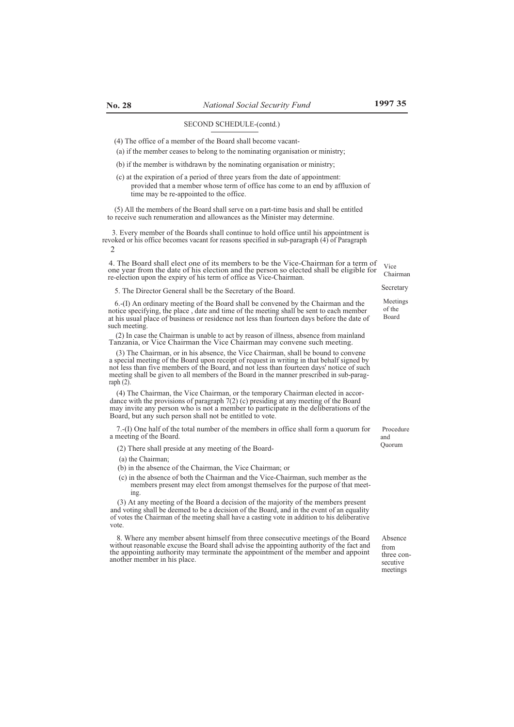#### SECOND SCHEDULE-(contd.)

(4) The office of a member of the Board shall become vacant-

(a) if the member ceases to belong to the nominating organisation or ministry;

(b) if the member is withdrawn by the nominating organisation or ministry;

(c) at the expiration of a period of three years from the date of appointment: provided that a member whose term of office has come to an end by affluxion of time may be re-appointed to the office.

(5) All the members of the Board shall serve on a part-time basis and shall be entitled to receive such renumeration and allowances as the Minister may determine.

revoked or his office becomes vacant for reasons specified in sub-paragraph  $(4)$  of Paragraph 3. Every member of the Boards shall continue to hold office until his appointment is  $\overline{2}$ 

4. The Board shall elect one of its members to be the Vice-Chairman for a term of one year from the date of his election and the person so elected shall be eligible for re-election upon the expiry of his term of office as Vice-Chairman.

Secretary 5. The Director General shall be the Secretary of the Board.

6.-(I) An ordinary meeting of the Board shall be convened by the Chairman and the notice specifying, the place , date and time of the meeting shall be sent to each member at his usual place of business or residence not less than fourteen days before the date of such meeting.

(2) In case the Chairman is unable to act by reason of illness, absence from mainland Tanzania, or Vice Chairman the Vice Chairman may convene such meeting.

(3) The Chairman, or in his absence, the Vice Chairman, shall be bound to convene a special meeting of the Board upon receipt of request in writing in that behalf signed by not less than five members of the Board, and not less than fourteen days' notice of such meeting shall be given to all members of the Board in the manner prescribed in sub-paragraph  $(2)$ 

(4) The Chairman, the Vice Chairman, or the temporary Chairman elected in accordance with the provisions of paragraph 7(2) (c) presiding at any meeting of the Board may invite any person who is not a member to participate in the deliberations of the Board, but any such person shall not be entitled to vote.

7.-(I) One half of the total number of the members in office shall form a quorum for a meeting of the Board.

(2) There shall preside at any meeting of the Board-

- (a) the Chairman;
- (b) in the absence of the Chairman, the Vice Chairman; or
- (c) in the absence of both the Chairman and the Vice-Chairman, such member as the members present may elect from amongst themselves for the purpose of that meeting.

(3) At any meeting of the Board a decision of the majority of the members present and voting shall be deemed to be a decision of the Board, and in the event of an equality of votes the Chairman of the meeting shall have a casting vote in addition to his deliberative vote.

8. Where any member absent himself from three consecutive meetings of the Board without reasonable excuse the Board shall advise the appointing authority of the fact and the appointing authority may terminate the appointment of the member and appoint another member in his place.

 Procedure and Quorum

Absence from three consecutive meetings

Vice Chairman

Meetings of the Board